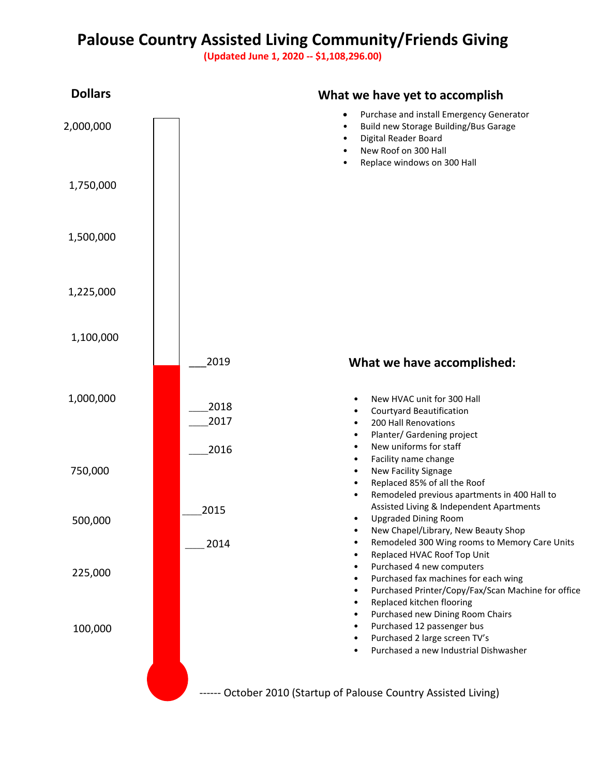## **Palouse Country Assisted Living Community/Friends Giving**

**(Updated June 1, 2020 -- \$1,108,296.00)**

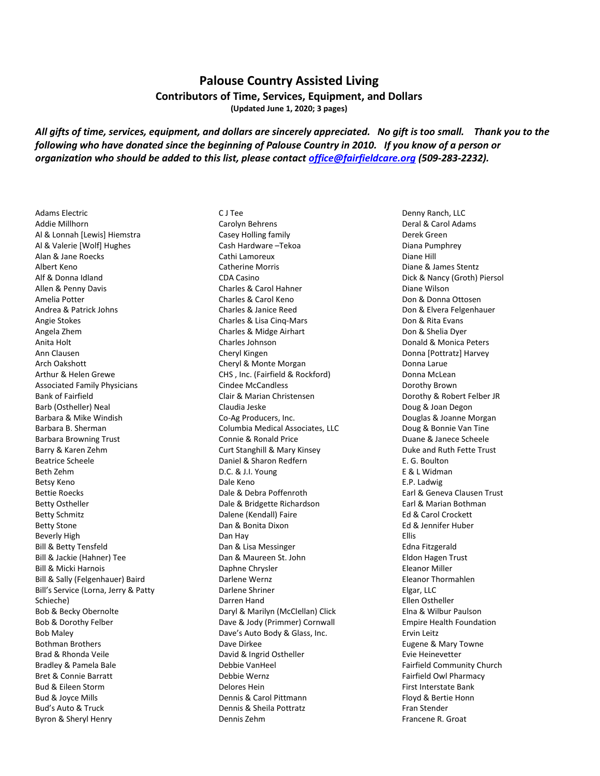## **Palouse Country Assisted Living**

**Contributors of Time, Services, Equipment, and Dollars**

**(Updated June 1, 2020; 3 pages)**

*All gifts of time, services, equipment, and dollars are sincerely appreciated. No gift is too small. Thank you to the following who have donated since the beginning of Palouse Country in 2010. If you know of a person or organization who should be added to this list, please contact [office@fairfieldcare.org](mailto:office@fairfieldcare.org) (509-283-2232).*

Adams Electric Addie Millhorn Al & Lonnah [Lewis] Hiemstra Al & Valerie [Wolf] Hughes Alan & Jane Roecks Albert Keno Alf & Donna Idland Allen & Penny Davis Amelia Potter Andrea & Patrick Johns Angie Stokes Angela Zhem Anita Holt Ann Clausen Arch Oakshott Arthur & Helen Grewe Associated Family Physicians Bank of Fairfield Barb (Ostheller) Neal Barbara & Mike Windish Barbara B. Sherman Barbara Browning Trust Barry & Karen Zehm Beatrice Scheele Beth Zehm Betsy Keno Bettie Roecks Betty Ostheller Betty Schmitz Betty Stone Beverly High Bill & Betty Tensfeld Bill & Jackie (Hahner) Tee Bill & Micki Harnois Bill & Sally (Felgenhauer) Baird Bill's Service (Lorna, Jerry & Patty Schieche) Bob & Becky Obernolte Bob & Dorothy Felber Bob Maley Bothman Brothers Brad & Rhonda Veile Bradley & Pamela Bale Bret & Connie Barratt Bud & Eileen Storm Bud & Joyce Mills Bud's Auto & Truck Byron & Sheryl Henry

C J Tee Carolyn Behrens Casey Holling family Cash Hardware –Tekoa Cathi Lamoreux Catherine Morris CDA Casino Charles & Carol Hahner Charles & Carol Keno Charles & Janice Reed Charles & Lisa Cinq-Mars Charles & Midge Airhart Charles Johnson Cheryl Kingen Cheryl & Monte Morgan CHS , Inc. (Fairfield & Rockford) Cindee McCandless Clair & Marian Christensen Claudia Jeske Co-Ag Producers, Inc. Columbia Medical Associates, LLC Connie & Ronald Price Curt Stanghill & Mary Kinsey Daniel & Sharon Redfern D.C. & J.I. Young Dale Keno Dale & Debra Poffenroth Dale & Bridgette Richardson Dalene (Kendall) Faire Dan & Bonita Dixon Dan Hay Dan & Lisa Messinger Dan & Maureen St. John Daphne Chrysler Darlene Wernz Darlene Shriner Darren Hand Daryl & Marilyn (McClellan) Click Dave & Jody (Primmer) Cornwall Dave's Auto Body & Glass, Inc. Dave Dirkee David & Ingrid Ostheller Debbie VanHeel Debbie Wernz Delores Hein Dennis & Carol Pittmann Dennis & Sheila Pottratz Dennis Zehm

Denny Ranch, LLC Deral & Carol Adams Derek Green Diana Pumphrey Diane Hill Diane & James Stentz Dick & Nancy (Groth) Piersol Diane Wilson Don & Donna Ottosen Don & Elvera Felgenhauer Don & Rita Evans Don & Shelia Dyer Donald & Monica Peters Donna [Pottratz] Harvey Donna Larue Donna McLean Dorothy Brown Dorothy & Robert Felber JR Doug & Joan Degon Douglas & Joanne Morgan Doug & Bonnie Van Tine Duane & Janece Scheele Duke and Ruth Fette Trust E. G. Boulton E & L Widman E.P. Ladwig Earl & Geneva Clausen Trust Earl & Marian Bothman Ed & Carol Crockett Ed & Jennifer Huber Ellis Edna Fitzgerald Eldon Hagen Trust Eleanor Miller Eleanor Thormahlen Elgar, LLC Ellen Ostheller Elna & Wilbur Paulson Empire Health Foundation Ervin Leitz Eugene & Mary Towne Evie Heinevetter Fairfield Community Church Fairfield Owl Pharmacy First Interstate Bank Floyd & Bertie Honn Fran Stender Francene R. Groat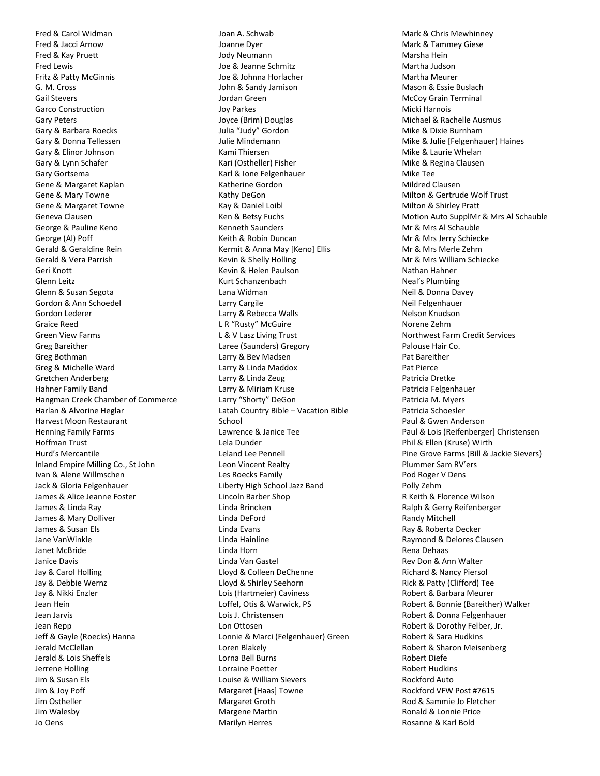Fred & Carol Widman Fred & Jacci Arnow Fred & Kay Pruett Fred Lewis Fritz & Patty McGinnis G. M. Cross Gail Stevers Garco Construction Gary Peters Gary & Barbara Roecks Gary & Donna Tellessen Gary & Elinor Johnson Gary & Lynn Schafer Gary Gortsema Gene & Margaret Kaplan Gene & Mary Towne Gene & Margaret Towne Geneva Clausen George & Pauline Keno George (Al) Poff Gerald & Geraldine Rein Gerald & Vera Parrish Geri Knott Glenn Leitz Glenn & Susan Segota Gordon & Ann Schoedel Gordon Lederer Graice Reed Green View Farms Greg Bareither Greg Bothman Greg & Michelle Ward Gretchen Anderberg Hahner Family Band Hangman Creek Chamber of Commerce Harlan & Alvorine Heglar Harvest Moon Restaurant Henning Family Farms Hoffman Trust Hurd's Mercantile Inland Empire Milling Co., St John Ivan & Alene Willmschen Jack & Gloria Felgenhauer James & Alice Jeanne Foster James & Linda Ray James & Mary Dolliver James & Susan Els Jane VanWinkle Janet McBride Janice Davis Jay & Carol Holling Jay & Debbie Wernz Jay & Nikki Enzler Jean Hein Jean Jarvis Jean Repp Jeff & Gayle (Roecks) Hanna Jerald McClellan Jerald & Lois Sheffels Jerrene Holling Jim & Susan Els Jim & Joy Poff Jim Ostheller Jim Walesby Jo Oens

Joan A. Schwab Joanne Dyer Jody Neumann Joe & Jeanne Schmitz Joe & Johnna Horlacher John & Sandy Jamison Jordan Green Joy Parkes Joyce (Brim) Douglas Julia "Judy" Gordon Julie Mindemann Kami Thiersen Kari (Ostheller) Fisher Karl & Ione Felgenhauer Katherine Gordon Kathy DeGon Kay & Daniel Loibl Ken & Betsy Fuchs Kenneth Saunders Keith & Robin Duncan Kermit & Anna May [Keno] Ellis Kevin & Shelly Holling Kevin & Helen Paulson Kurt Schanzenbach Lana Widman Larry Cargile Larry & Rebecca Walls L R "Rusty" McGuire L & V Lasz Living Trust Laree (Saunders) Gregory Larry & Bev Madsen Larry & Linda Maddox Larry & Linda Zeug Larry & Miriam Kruse Larry "Shorty" DeGon Latah Country Bible – Vacation Bible School Lawrence & Janice Tee Lela Dunder Leland Lee Pennell Leon Vincent Realty Les Roecks Family Liberty High School Jazz Band Lincoln Barber Shop Linda Brincken Linda DeFord Linda Evans Linda Hainline Linda Horn Linda Van Gastel Lloyd & Colleen DeChenne Lloyd & Shirley Seehorn Lois (Hartmeier) Caviness Loffel, Otis & Warwick, PS Lois J. Christensen Lon Ottosen Lonnie & Marci (Felgenhauer) Green Loren Blakely Lorna Bell Burns Lorraine Poetter Louise & William Sievers Margaret [Haas] Towne Margaret Groth Margene Martin Marilyn Herres

Mark & Chris Mewhinney Mark & Tammey Giese Marsha Hein Martha Judson Martha Meurer Mason & Essie Buslach McCoy Grain Terminal Micki Harnois Michael & Rachelle Ausmus Mike & Dixie Burnham Mike & Julie [Felgenhauer) Haines Mike & Laurie Whelan Mike & Regina Clausen Mike Tee Mildred Clausen Milton & Gertrude Wolf Trust Milton & Shirley Pratt Motion Auto SupplMr & Mrs Al Schauble Mr & Mrs Al Schauble Mr & Mrs Jerry Schiecke Mr & Mrs Merle Zehm Mr & Mrs William Schiecke Nathan Hahner Neal's Plumbing Neil & Donna Davey Neil Felgenhauer Nelson Knudson Norene Zehm Northwest Farm Credit Services Palouse Hair Co. Pat Bareither Pat Pierce Patricia Dretke Patricia Felgenhauer Patricia M. Myers Patricia Schoesler Paul & Gwen Anderson Paul & Lois (Reifenberger] Christensen Phil & Ellen (Kruse) Wirth Pine Grove Farms (Bill & Jackie Sievers) Plummer Sam RV'ers Pod Roger V Dens Polly Zehm R Keith & Florence Wilson Ralph & Gerry Reifenberger Randy Mitchell Ray & Roberta Decker Raymond & Delores Clausen Rena Dehaas Rev Don & Ann Walter Richard & Nancy Piersol Rick & Patty (Clifford) Tee Robert & Barbara Meurer Robert & Bonnie (Bareither) Walker Robert & Donna Felgenhauer Robert & Dorothy Felber, Jr. Robert & Sara Hudkins Robert & Sharon Meisenberg Robert Diefe Robert Hudkins Rockford Auto Rockford VFW Post #7615 Rod & Sammie Jo Fletcher Ronald & Lonnie Price Rosanne & Karl Bold